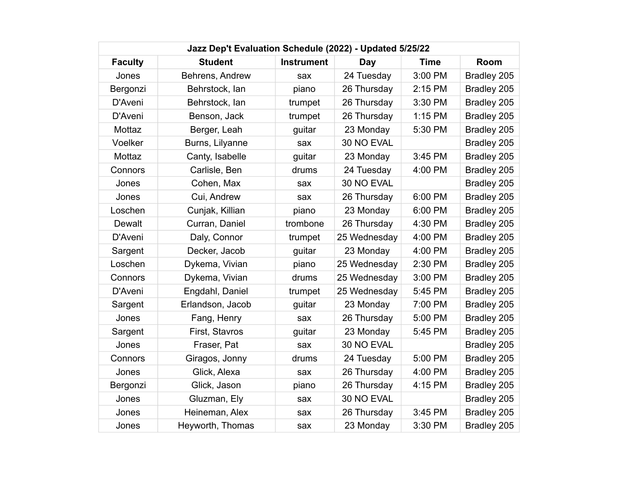| Jazz Dep't Evaluation Schedule (2022) - Updated 5/25/22 |                  |                   |              |             |             |  |
|---------------------------------------------------------|------------------|-------------------|--------------|-------------|-------------|--|
| <b>Faculty</b>                                          | <b>Student</b>   | <b>Instrument</b> | Day          | <b>Time</b> | Room        |  |
| Jones                                                   | Behrens, Andrew  | sax               | 24 Tuesday   | 3:00 PM     | Bradley 205 |  |
| Bergonzi                                                | Behrstock, lan   | piano             | 26 Thursday  | 2:15 PM     | Bradley 205 |  |
| D'Aveni                                                 | Behrstock, lan   | trumpet           | 26 Thursday  | 3:30 PM     | Bradley 205 |  |
| D'Aveni                                                 | Benson, Jack     | trumpet           | 26 Thursday  | 1:15 PM     | Bradley 205 |  |
| Mottaz                                                  | Berger, Leah     | guitar            | 23 Monday    | 5:30 PM     | Bradley 205 |  |
| Voelker                                                 | Burns, Lilyanne  | sax               | 30 NO EVAL   |             | Bradley 205 |  |
| Mottaz                                                  | Canty, Isabelle  | guitar            | 23 Monday    | 3:45 PM     | Bradley 205 |  |
| Connors                                                 | Carlisle, Ben    | drums             | 24 Tuesday   | 4:00 PM     | Bradley 205 |  |
| Jones                                                   | Cohen, Max       | sax               | 30 NO EVAL   |             | Bradley 205 |  |
| Jones                                                   | Cui, Andrew      | sax               | 26 Thursday  | 6:00 PM     | Bradley 205 |  |
| Loschen                                                 | Cunjak, Killian  | piano             | 23 Monday    | 6:00 PM     | Bradley 205 |  |
| <b>Dewalt</b>                                           | Curran, Daniel   | trombone          | 26 Thursday  | 4:30 PM     | Bradley 205 |  |
| D'Aveni                                                 | Daly, Connor     | trumpet           | 25 Wednesday | 4:00 PM     | Bradley 205 |  |
| Sargent                                                 | Decker, Jacob    | guitar            | 23 Monday    | 4:00 PM     | Bradley 205 |  |
| Loschen                                                 | Dykema, Vivian   | piano             | 25 Wednesday | 2:30 PM     | Bradley 205 |  |
| Connors                                                 | Dykema, Vivian   | drums             | 25 Wednesday | 3:00 PM     | Bradley 205 |  |
| D'Aveni                                                 | Engdahl, Daniel  | trumpet           | 25 Wednesday | 5:45 PM     | Bradley 205 |  |
| Sargent                                                 | Erlandson, Jacob | guitar            | 23 Monday    | 7:00 PM     | Bradley 205 |  |
| Jones                                                   | Fang, Henry      | sax               | 26 Thursday  | 5:00 PM     | Bradley 205 |  |
| Sargent                                                 | First, Stavros   | guitar            | 23 Monday    | 5:45 PM     | Bradley 205 |  |
| Jones                                                   | Fraser, Pat      | sax               | 30 NO EVAL   |             | Bradley 205 |  |
| Connors                                                 | Giragos, Jonny   | drums             | 24 Tuesday   | 5:00 PM     | Bradley 205 |  |
| Jones                                                   | Glick, Alexa     | sax               | 26 Thursday  | 4:00 PM     | Bradley 205 |  |
| Bergonzi                                                | Glick, Jason     | piano             | 26 Thursday  | 4:15 PM     | Bradley 205 |  |
| Jones                                                   | Gluzman, Ely     | sax               | 30 NO EVAL   |             | Bradley 205 |  |
| Jones                                                   | Heineman, Alex   | sax               | 26 Thursday  | 3:45 PM     | Bradley 205 |  |
| Jones                                                   | Heyworth, Thomas | sax               | 23 Monday    | 3:30 PM     | Bradley 205 |  |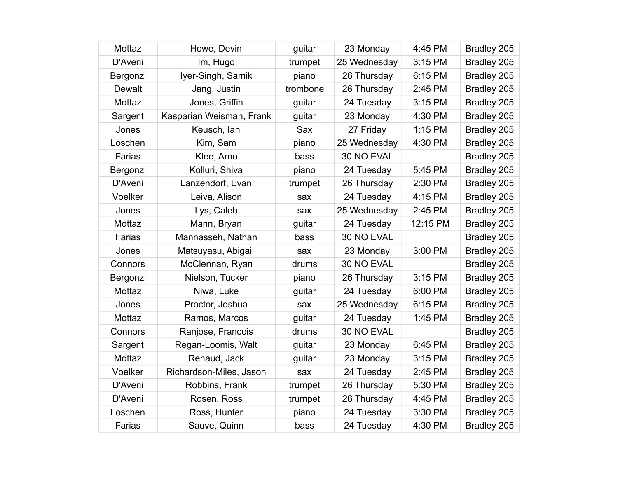| Mottaz   | Howe, Devin              | guitar   | 23 Monday    | 4:45 PM  | Bradley 205 |
|----------|--------------------------|----------|--------------|----------|-------------|
| D'Aveni  | Im, Hugo                 | trumpet  | 25 Wednesday | 3:15 PM  | Bradley 205 |
| Bergonzi | lyer-Singh, Samik        | piano    | 26 Thursday  | 6:15 PM  | Bradley 205 |
| Dewalt   | Jang, Justin             | trombone | 26 Thursday  | 2:45 PM  | Bradley 205 |
| Mottaz   | Jones, Griffin           | guitar   | 24 Tuesday   | 3:15 PM  | Bradley 205 |
| Sargent  | Kasparian Weisman, Frank | guitar   | 23 Monday    | 4:30 PM  | Bradley 205 |
| Jones    | Keusch, Ian              | Sax      | 27 Friday    | 1:15 PM  | Bradley 205 |
| Loschen  | Kim, Sam                 | piano    | 25 Wednesday | 4:30 PM  | Bradley 205 |
| Farias   | Klee, Arno               | bass     | 30 NO EVAL   |          | Bradley 205 |
| Bergonzi | Kolluri, Shiva           | piano    | 24 Tuesday   | 5:45 PM  | Bradley 205 |
| D'Aveni  | Lanzendorf, Evan         | trumpet  | 26 Thursday  | 2:30 PM  | Bradley 205 |
| Voelker  | Leiva, Alison            | sax      | 24 Tuesday   | 4:15 PM  | Bradley 205 |
| Jones    | Lys, Caleb               | sax      | 25 Wednesday | 2:45 PM  | Bradley 205 |
| Mottaz   | Mann, Bryan              | guitar   | 24 Tuesday   | 12:15 PM | Bradley 205 |
| Farias   | Mannasseh, Nathan        | bass     | 30 NO EVAL   |          | Bradley 205 |
| Jones    | Matsuyasu, Abigail       | sax      | 23 Monday    | 3:00 PM  | Bradley 205 |
| Connors  | McClennan, Ryan          | drums    | 30 NO EVAL   |          | Bradley 205 |
| Bergonzi | Nielson, Tucker          | piano    | 26 Thursday  | 3:15 PM  | Bradley 205 |
| Mottaz   | Niwa, Luke               | guitar   | 24 Tuesday   | 6:00 PM  | Bradley 205 |
| Jones    | Proctor, Joshua          | sax      | 25 Wednesday | 6:15 PM  | Bradley 205 |
| Mottaz   | Ramos, Marcos            | guitar   | 24 Tuesday   | 1:45 PM  | Bradley 205 |
| Connors  | Ranjose, Francois        | drums    | 30 NO EVAL   |          | Bradley 205 |
| Sargent  | Regan-Loomis, Walt       | guitar   | 23 Monday    | 6:45 PM  | Bradley 205 |
| Mottaz   | Renaud, Jack             | guitar   | 23 Monday    | 3:15 PM  | Bradley 205 |
| Voelker  | Richardson-Miles, Jason  | sax      | 24 Tuesday   | 2:45 PM  | Bradley 205 |
| D'Aveni  | Robbins, Frank           | trumpet  | 26 Thursday  | 5:30 PM  | Bradley 205 |
| D'Aveni  | Rosen, Ross              | trumpet  | 26 Thursday  | 4:45 PM  | Bradley 205 |
| Loschen  | Ross, Hunter             | piano    | 24 Tuesday   | 3:30 PM  | Bradley 205 |
| Farias   | Sauve, Quinn             | bass     | 24 Tuesday   | 4:30 PM  | Bradley 205 |